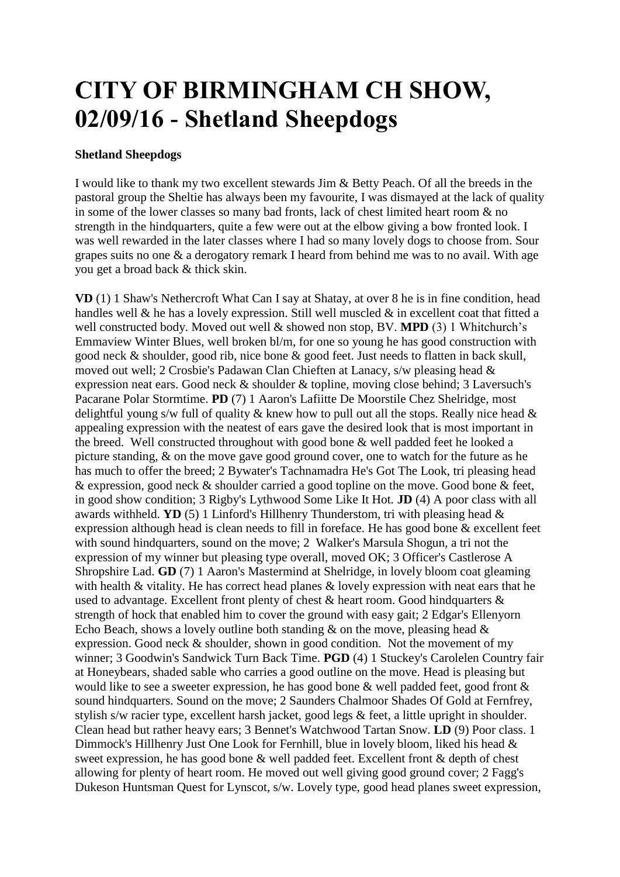## **CITY OF BIRMINGHAM CH SHOW, 02/09/16 - Shetland Sheepdogs**

## **Shetland Sheepdogs**

I would like to thank my two excellent stewards Jim & Betty Peach. Of all the breeds in the pastoral group the Sheltie has always been my favourite, I was dismayed at the lack of quality in some of the lower classes so many bad fronts, lack of chest limited heart room & no strength in the hindquarters, quite a few were out at the elbow giving a bow fronted look. I was well rewarded in the later classes where I had so many lovely dogs to choose from. Sour grapes suits no one & a derogatory remark I heard from behind me was to no avail. With age you get a broad back & thick skin.

**VD** (1) 1 Shaw's Nethercroft What Can I say at Shatay, at over 8 he is in fine condition, head handles well & he has a lovely expression. Still well muscled & in excellent coat that fitted a well constructed body. Moved out well & showed non stop, BV. **MPD** (3) 1 Whitchurch's Emmaview Winter Blues, well broken bl/m, for one so young he has good construction with good neck & shoulder, good rib, nice bone & good feet. Just needs to flatten in back skull, moved out well; 2 Crosbie's Padawan Clan Chieften at Lanacy, s/w pleasing head & expression neat ears. Good neck & shoulder & topline, moving close behind; 3 Laversuch's Pacarane Polar Stormtime. **PD** (7) 1 Aaron's Lafiitte De Moorstile Chez Shelridge, most delightful young s/w full of quality  $\&$  knew how to pull out all the stops. Really nice head  $\&$ appealing expression with the neatest of ears gave the desired look that is most important in the breed. Well constructed throughout with good bone & well padded feet he looked a picture standing, & on the move gave good ground cover, one to watch for the future as he has much to offer the breed; 2 Bywater's Tachnamadra He's Got The Look, tri pleasing head & expression, good neck & shoulder carried a good topline on the move. Good bone & feet, in good show condition; 3 Rigby's Lythwood Some Like It Hot. **JD** (4) A poor class with all awards withheld. **YD** (5) 1 Linford's Hillhenry Thunderstom, tri with pleasing head  $\&$ expression although head is clean needs to fill in foreface. He has good bone & excellent feet with sound hindquarters, sound on the move; 2 Walker's Marsula Shogun, a tri not the expression of my winner but pleasing type overall, moved OK; 3 Officer's Castlerose A Shropshire Lad. **GD** (7) 1 Aaron's Mastermind at Shelridge, in lovely bloom coat gleaming with health & vitality. He has correct head planes & lovely expression with neat ears that he used to advantage. Excellent front plenty of chest & heart room. Good hindquarters & strength of hock that enabled him to cover the ground with easy gait; 2 Edgar's Ellenyorn Echo Beach, shows a lovely outline both standing  $\&$  on the move, pleasing head  $\&$ expression. Good neck & shoulder, shown in good condition. Not the movement of my winner; 3 Goodwin's Sandwick Turn Back Time. **PGD** (4) 1 Stuckey's Carolelen Country fair at Honeybears, shaded sable who carries a good outline on the move. Head is pleasing but would like to see a sweeter expression, he has good bone & well padded feet, good front & sound hindquarters. Sound on the move; 2 Saunders Chalmoor Shades Of Gold at Fernfrey, stylish s/w racier type, excellent harsh jacket, good legs & feet, a little upright in shoulder. Clean head but rather heavy ears; 3 Bennet's Watchwood Tartan Snow. **LD** (9) Poor class. 1 Dimmock's Hillhenry Just One Look for Fernhill, blue in lovely bloom, liked his head & sweet expression, he has good bone & well padded feet. Excellent front & depth of chest allowing for plenty of heart room. He moved out well giving good ground cover; 2 Fagg's Dukeson Huntsman Quest for Lynscot, s/w. Lovely type, good head planes sweet expression,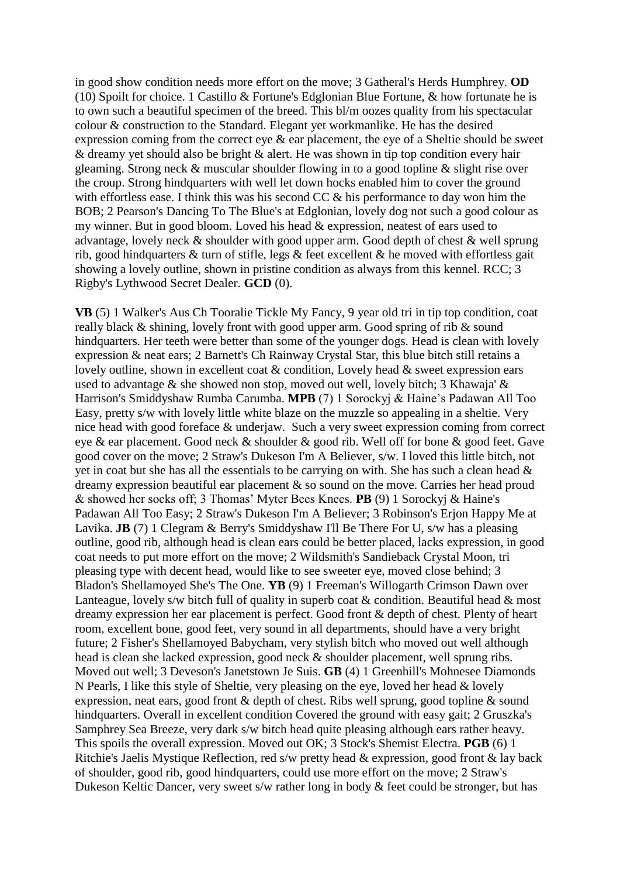in good show condition needs more effort on the move; 3 Gatheral's Herds Humphrey. **OD** (10) Spoilt for choice. 1 Castillo & Fortune's Edglonian Blue Fortune, & how fortunate he is to own such a beautiful specimen of the breed. This bl/m oozes quality from his spectacular colour & construction to the Standard. Elegant yet workmanlike. He has the desired expression coming from the correct eye & ear placement, the eye of a Sheltie should be sweet & dreamy yet should also be bright & alert. He was shown in tip top condition every hair gleaming. Strong neck & muscular shoulder flowing in to a good topline & slight rise over the croup. Strong hindquarters with well let down hocks enabled him to cover the ground with effortless ease. I think this was his second CC & his performance to day won him the BOB; 2 Pearson's Dancing To The Blue's at Edglonian, lovely dog not such a good colour as my winner. But in good bloom. Loved his head & expression, neatest of ears used to advantage, lovely neck & shoulder with good upper arm. Good depth of chest & well sprung rib, good hindquarters & turn of stifle, legs & feet excellent & he moved with effortless gait showing a lovely outline, shown in pristine condition as always from this kennel. RCC; 3 Rigby's Lythwood Secret Dealer. **GCD** (0).

**VB** (5) 1 Walker's Aus Ch Tooralie Tickle My Fancy, 9 year old tri in tip top condition, coat really black & shining, lovely front with good upper arm. Good spring of rib & sound hindquarters. Her teeth were better than some of the younger dogs. Head is clean with lovely expression & neat ears; 2 Barnett's Ch Rainway Crystal Star, this blue bitch still retains a lovely outline, shown in excellent coat & condition, Lovely head & sweet expression ears used to advantage & she showed non stop, moved out well, lovely bitch; 3 Khawaja' & Harrison's Smiddyshaw Rumba Carumba. **MPB** (7) 1 Sorockyj & Haine's Padawan All Too Easy, pretty s/w with lovely little white blaze on the muzzle so appealing in a sheltie. Very nice head with good foreface & underjaw. Such a very sweet expression coming from correct eye & ear placement. Good neck & shoulder & good rib. Well off for bone & good feet. Gave good cover on the move; 2 Straw's Dukeson I'm A Believer, s/w. I loved this little bitch, not yet in coat but she has all the essentials to be carrying on with. She has such a clean head & dreamy expression beautiful ear placement & so sound on the move. Carries her head proud & showed her socks off; 3 Thomas' Myter Bees Knees. **PB** (9) 1 Sorockyj & Haine's Padawan All Too Easy; 2 Straw's Dukeson I'm A Believer; 3 Robinson's Erjon Happy Me at Lavika. **JB** (7) 1 Clegram & Berry's Smiddyshaw I'll Be There For U, s/w has a pleasing outline, good rib, although head is clean ears could be better placed, lacks expression, in good coat needs to put more effort on the move; 2 Wildsmith's Sandieback Crystal Moon, tri pleasing type with decent head, would like to see sweeter eye, moved close behind; 3 Bladon's Shellamoyed She's The One. **YB** (9) 1 Freeman's Willogarth Crimson Dawn over Lanteague, lovely s/w bitch full of quality in superb coat  $\&$  condition. Beautiful head  $\&$  most dreamy expression her ear placement is perfect. Good front & depth of chest. Plenty of heart room, excellent bone, good feet, very sound in all departments, should have a very bright future; 2 Fisher's Shellamoyed Babycham, very stylish bitch who moved out well although head is clean she lacked expression, good neck & shoulder placement, well sprung ribs. Moved out well; 3 Deveson's Janetstown Je Suis. **GB** (4) 1 Greenhill's Mohnesee Diamonds N Pearls, I like this style of Sheltie, very pleasing on the eye, loved her head & lovely expression, neat ears, good front & depth of chest. Ribs well sprung, good topline & sound hindquarters. Overall in excellent condition Covered the ground with easy gait; 2 Gruszka's Samphrey Sea Breeze, very dark s/w bitch head quite pleasing although ears rather heavy. This spoils the overall expression. Moved out OK; 3 Stock's Shemist Electra. **PGB** (6) 1 Ritchie's Jaelis Mystique Reflection, red s/w pretty head & expression, good front & lay back of shoulder, good rib, good hindquarters, could use more effort on the move; 2 Straw's Dukeson Keltic Dancer, very sweet s/w rather long in body & feet could be stronger, but has